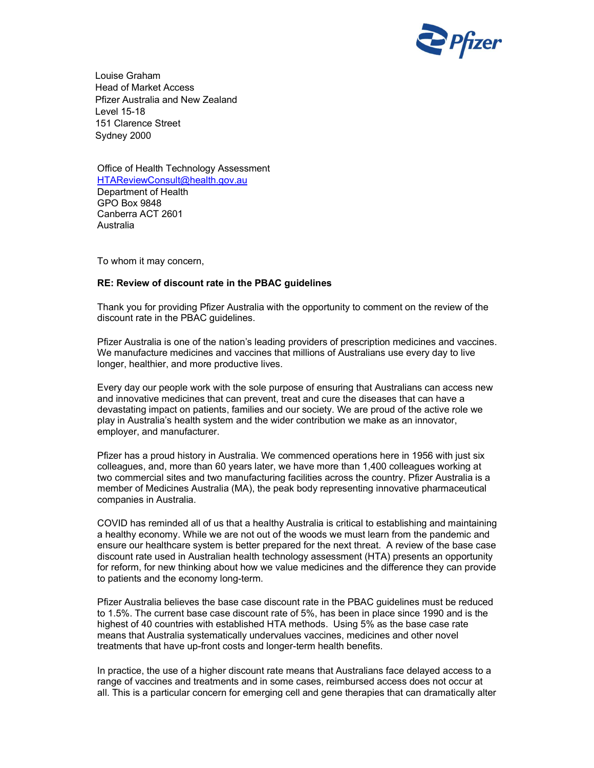

Louise Graham Head of Market Access Pfizer Australia and New Zealand Level 15-18 151 Clarence Street Sydney 2000

Office of Health Technology Assessment HTAReviewConsult@health.gov.au Department of Health GPO Box 9848 Canberra ACT 2601 Australia

To whom it may concern,

## RE: Review of discount rate in the PBAC guidelines

Thank you for providing Pfizer Australia with the opportunity to comment on the review of the discount rate in the PBAC guidelines.

Pfizer Australia is one of the nation's leading providers of prescription medicines and vaccines. We manufacture medicines and vaccines that millions of Australians use every day to live longer, healthier, and more productive lives.

Every day our people work with the sole purpose of ensuring that Australians can access new and innovative medicines that can prevent, treat and cure the diseases that can have a devastating impact on patients, families and our society. We are proud of the active role we play in Australia's health system and the wider contribution we make as an innovator, employer, and manufacturer.

Pfizer has a proud history in Australia. We commenced operations here in 1956 with just six colleagues, and, more than 60 years later, we have more than 1,400 colleagues working at two commercial sites and two manufacturing facilities across the country. Pfizer Australia is a member of Medicines Australia (MA), the peak body representing innovative pharmaceutical companies in Australia.

COVID has reminded all of us that a healthy Australia is critical to establishing and maintaining a healthy economy. While we are not out of the woods we must learn from the pandemic and ensure our healthcare system is better prepared for the next threat. A review of the base case discount rate used in Australian health technology assessment (HTA) presents an opportunity for reform, for new thinking about how we value medicines and the difference they can provide to patients and the economy long-term.

Pfizer Australia believes the base case discount rate in the PBAC guidelines must be reduced to 1.5%. The current base case discount rate of 5%, has been in place since 1990 and is the highest of 40 countries with established HTA methods. Using 5% as the base case rate means that Australia systematically undervalues vaccines, medicines and other novel treatments that have up-front costs and longer-term health benefits.

In practice, the use of a higher discount rate means that Australians face delayed access to a range of vaccines and treatments and in some cases, reimbursed access does not occur at all. This is a particular concern for emerging cell and gene therapies that can dramatically alter